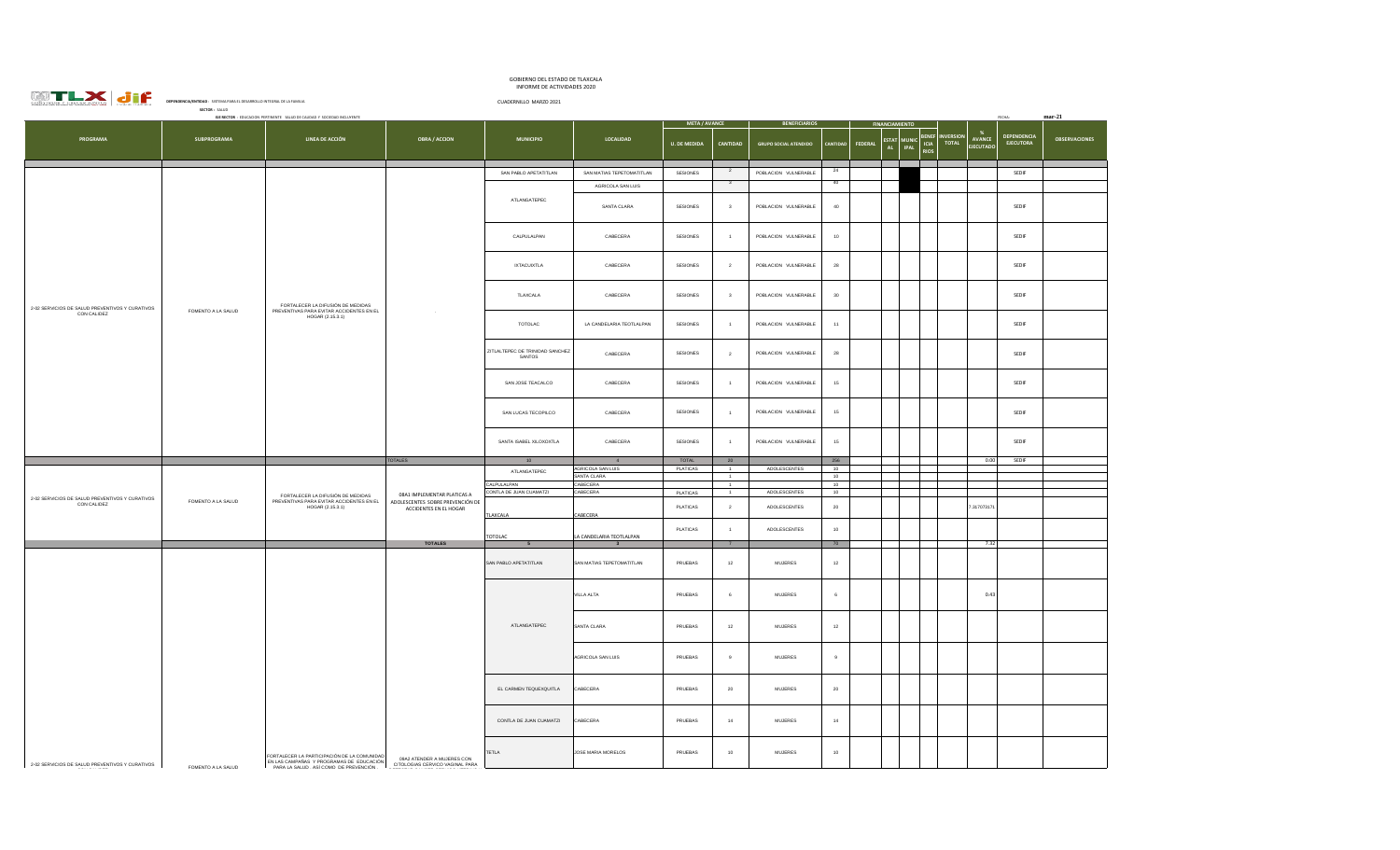|                                                                               |                                                                         | GOBIERNO DEL ESTADO DE TLAXCALA<br>INFORME DE ACTIVIDADES 2020 |
|-------------------------------------------------------------------------------|-------------------------------------------------------------------------|----------------------------------------------------------------|
| <b>WTLX di</b><br><b><i>CONSTAL DIAMONDS</i></b><br>CONSTRUIR X CRECER JUNTOS | DEPENDENCIA/ENTIDAD : SISTEMA PARA EL DESARROLLO INTEGRAL DE LA FAMILIA | CUADERNILLO MARZO 2021                                         |

|                                                             | SECTOR: SALUD<br>EJE RECTOR : EDUCACION PERTINENTE SALUD DE CALIDAD Y SOCIEDAD INCLUYENTE | FECHA:                                                                                                                              |                                                                                                                    |                                           |                                  |                      |                         |                              |                  |                      |                                                                   | $mar-21$                         |                                  |                                 |                      |    |  |  |  |  |  |  |
|-------------------------------------------------------------|-------------------------------------------------------------------------------------------|-------------------------------------------------------------------------------------------------------------------------------------|--------------------------------------------------------------------------------------------------------------------|-------------------------------------------|----------------------------------|----------------------|-------------------------|------------------------------|------------------|----------------------|-------------------------------------------------------------------|----------------------------------|----------------------------------|---------------------------------|----------------------|----|--|--|--|--|--|--|
|                                                             |                                                                                           |                                                                                                                                     |                                                                                                                    |                                           |                                  | <b>META / AVANCE</b> |                         | <b>BENEFICIARIOS</b>         |                  |                      | <b>NCIAMIENTO</b>                                                 |                                  |                                  |                                 |                      |    |  |  |  |  |  |  |
| PROGRAMA                                                    | <b>SUBPROGRAMA</b>                                                                        | LINEA DE ACCIÓN                                                                                                                     | <b>OBRA / ACCION</b>                                                                                               | <b>MUNICIPIO</b>                          | LOCALIDAD                        | <b>U. DE MEDIDA</b>  | <b>CANTIDAD</b>         | <b>GRUPO SOCIAL ATENDIDO</b> | CANTIDAD         | <b>FEDERAL</b><br>AL | <b>BENEF</b><br><b>ESTAT</b> MUNIC<br>ICIA<br>RIOS<br><b>IPAL</b> | <b>INVERSION</b><br><b>TOTAL</b> | - %<br>AVANCE<br><b>EJECUTAD</b> | DEPENDENCIA<br><b>EJECUTORA</b> | <b>OBSERVACIONES</b> |    |  |  |  |  |  |  |
|                                                             |                                                                                           |                                                                                                                                     |                                                                                                                    | SAN PABLO APETATITLAN                     | SAN MATIAS TEPETOMATITLAN        | SESIONES             | $\overline{2}$          | POBLACION VULNERABLE         | 24               |                      |                                                                   |                                  |                                  | SEDIF                           |                      |    |  |  |  |  |  |  |
|                                                             |                                                                                           |                                                                                                                                     |                                                                                                                    |                                           |                                  |                      | $\overline{\mathbf{3}}$ |                              | 40               |                      |                                                                   |                                  |                                  |                                 |                      |    |  |  |  |  |  |  |
|                                                             |                                                                                           |                                                                                                                                     |                                                                                                                    |                                           | AGRICOLA SAN LUIS                |                      |                         |                              |                  |                      |                                                                   |                                  |                                  |                                 |                      |    |  |  |  |  |  |  |
|                                                             |                                                                                           |                                                                                                                                     |                                                                                                                    | ATLANGATEPEC                              | SANTA CLARA                      | SESIONES             | $\mathbf{3}$            | POBLACION VULNERABLE         | $40\,$           |                      |                                                                   |                                  |                                  | SEDIF                           |                      |    |  |  |  |  |  |  |
|                                                             |                                                                                           |                                                                                                                                     |                                                                                                                    | CALPULALPAN                               | CABECERA                         | SESIONES             | $\overline{1}$          | POBLACION VULNERABLE         | 10 <sub>10</sub> |                      |                                                                   |                                  |                                  | SEDIF                           |                      |    |  |  |  |  |  |  |
|                                                             |                                                                                           |                                                                                                                                     |                                                                                                                    | <b>IXTACUIXTLA</b>                        | CARECERA                         | SESIONES             | 2                       | POBLACION VULNERABLE         | 28               |                      |                                                                   |                                  |                                  | SEDIF                           |                      |    |  |  |  |  |  |  |
| 2-02 SERVICIOS DE SALUD PREVENTIVOS Y CURATIVOS             |                                                                                           | FORTALECER LA DIFUSIÓN DE MEDIDAS<br>PREVENTIVAS PARA EVITAR ACCIDENTES EN EL                                                       | <b>TLAXCALA</b><br>CABECERA<br>SESIONES<br>$\mathbf{3}$<br>TOTOLAC<br>LA CANDELARIA TEOTLALPAN<br>SESIONES<br>$-1$ |                                           |                                  |                      |                         | POBLACION VULNERABLE         | $30\,$           |                      |                                                                   |                                  |                                  | SEDIF                           |                      |    |  |  |  |  |  |  |
| CON CALIDEZ                                                 | FOMENTO A LA SALUD                                                                        | HOGAR (2.15.3.1)                                                                                                                    |                                                                                                                    | POBLACION VULNERABLE                      | 11                               |                      |                         |                              |                  | SEDIF                |                                                                   |                                  |                                  |                                 |                      |    |  |  |  |  |  |  |
|                                                             |                                                                                           |                                                                                                                                     |                                                                                                                    | ZITLALTEPEC DE TRINIDAD SANCHEZ<br>SANTOS | CABECERA                         | SESIONES             | $\overline{2}$          | POBLACION VULNERABLE         | 28               |                      |                                                                   |                                  |                                  | SEDIF                           |                      |    |  |  |  |  |  |  |
|                                                             |                                                                                           |                                                                                                                                     |                                                                                                                    | SAN JOSE TEACALCO                         | CABECERA                         | <b>SESIONES</b>      | $\overline{1}$          | POBLACION VULNERABLE         | 15               |                      |                                                                   |                                  |                                  | SEDIF                           |                      |    |  |  |  |  |  |  |
|                                                             |                                                                                           |                                                                                                                                     |                                                                                                                    | SAN LUCAS TECOPILCO                       | CABECERA                         | <b>SESIONES</b>      | $\overline{1}$          | POBLACION VULNERABLE         | 15               |                      |                                                                   |                                  |                                  | SEDIF                           |                      |    |  |  |  |  |  |  |
|                                                             |                                                                                           |                                                                                                                                     |                                                                                                                    | SANTA ISABEL XILOXOXTLA                   | CABECERA                         | SESIONES             | $\mathbf{1}$            | POBLACION VULNERABLE         | 15               |                      |                                                                   |                                  |                                  | SEDIF                           |                      |    |  |  |  |  |  |  |
|                                                             |                                                                                           |                                                                                                                                     | <b>TOTALES</b>                                                                                                     | 10                                        | 4                                | TOTAL                | 20                      |                              | 256              |                      |                                                                   |                                  | 0.00                             | SEDIF                           |                      |    |  |  |  |  |  |  |
|                                                             |                                                                                           |                                                                                                                                     |                                                                                                                    | ATLANGATEPEC                              | AGRICOLA SAN LUIS<br>SANTA CLARA | <b>PLATICAS</b>      | $\overline{1}$<br>$-1$  | ADOLESCENTES                 | 10<br>10         |                      |                                                                   |                                  |                                  |                                 |                      |    |  |  |  |  |  |  |
|                                                             |                                                                                           |                                                                                                                                     | 08A1 IMPLEMENTAR PLATICAS A<br>ADOLESCENTES SOBRE PREVENCIÓN DE                                                    |                                           |                                  |                      | CALPULALPAN             | CABECERA                     |                  | $\overline{1}$       |                                                                   | 10                               |                                  |                                 |                      |    |  |  |  |  |  |  |
|                                                             |                                                                                           | FORTALECER LA DIFUSIÓN DE MEDIDAS                                                                                                   |                                                                                                                    | CONTLA DE JUAN CUAMATZI                   | CABECERA                         | PLATICAS             | $\overline{1}$          | ADOLESCENTES                 | 10               |                      |                                                                   |                                  |                                  |                                 |                      |    |  |  |  |  |  |  |
| 2-02 SERVICIOS DE SALUD PREVENTIVOS Y CURATIVOS CON CALIDEZ | FOMENTO A LA SALUD                                                                        | PREVENTIVAS PARA EVITAR ACCIDENTES EN EL<br>HOGAR (2.15.3.1)                                                                        |                                                                                                                    |                                           |                                  |                      | PLATICAS                | $\overline{2}$               | ADOLESCENTES     | 20                   |                                                                   |                                  |                                  | 31707317                        |                      |    |  |  |  |  |  |  |
|                                                             |                                                                                           |                                                                                                                                     | ACCIDENTES EN EL HOGAR                                                                                             | TLAXCALA                                  | CABECERA                         |                      |                         |                              |                  |                      |                                                                   |                                  |                                  |                                 |                      |    |  |  |  |  |  |  |
|                                                             |                                                                                           |                                                                                                                                     |                                                                                                                    |                                           |                                  | <b>PLATICAS</b>      | $\overline{1}$          | ADOLESCENTES                 | 10               |                      |                                                                   |                                  |                                  |                                 |                      |    |  |  |  |  |  |  |
|                                                             |                                                                                           |                                                                                                                                     |                                                                                                                    | <b>TOTOLAC</b>                            | A CANDELARIA TEOTLALPAN          |                      |                         |                              |                  |                      |                                                                   |                                  |                                  |                                 |                      |    |  |  |  |  |  |  |
|                                                             |                                                                                           |                                                                                                                                     | <b>TOTALES</b>                                                                                                     |                                           |                                  |                      |                         |                              | 70               |                      |                                                                   |                                  | 7.32                             |                                 |                      |    |  |  |  |  |  |  |
|                                                             |                                                                                           |                                                                                                                                     |                                                                                                                    | SAN PABLO APETATITLAN                     | SAN MATIAS TEPETOMATITLAN        | PRUEBAS              | $12\,$                  | <b>MUJERES</b>               | $12\,$           |                      |                                                                   |                                  |                                  |                                 |                      |    |  |  |  |  |  |  |
|                                                             |                                                                                           |                                                                                                                                     |                                                                                                                    |                                           | VILLA ALTA                       | PRUEBAS              | $\,$ 6 $\,$             | $\mathsf{MULERES}\xspace$    | $\epsilon$       |                      |                                                                   |                                  | 0.43                             |                                 |                      |    |  |  |  |  |  |  |
|                                                             |                                                                                           |                                                                                                                                     |                                                                                                                    | ATLANGATEPEC                              | SANTA CLARA                      | PRUEBAS              | $12\,$                  | $\mathsf{MUIERS}\xspace$     | $12\,$           |                      |                                                                   |                                  |                                  |                                 |                      |    |  |  |  |  |  |  |
|                                                             |                                                                                           |                                                                                                                                     |                                                                                                                    |                                           | AGRICOLA SAN LUIS                | PRUEBAS              | 9                       | <b>MUJERES</b>               | 9                |                      |                                                                   |                                  |                                  |                                 |                      |    |  |  |  |  |  |  |
|                                                             |                                                                                           |                                                                                                                                     | 09A2 ATENDER A MUJERES CON<br>CITOLOGIAS CERVICO VAGINAL PARA                                                      |                                           | EL CARMEN TEQUEXQUITLA           | CABECERA             | PRUEBAS                 | 20                           | <b>MUJERES</b>   | $20\,$               |                                                                   |                                  |                                  |                                 |                      |    |  |  |  |  |  |  |
| 2-02 SERVICIOS DE SALUD PREVENTIVOS Y CURATIVOS             |                                                                                           | FORTALECER LA PARTICIPACIÓN DE LA COMUNIDAD<br>EN LAS CAMPAÑAS Y PROGRAMAS DE EDUCACIÓN<br>PARA LA SALUD . ASÍ COMO DE PREVENCIÓN . |                                                                                                                    |                                           |                                  |                      |                         |                              |                  |                      | CONTLA DE JUAN CUAMATZI                                           | CABECERA                         | PRUEBAS                          | 14                              | <b>MUJERES</b>       | 14 |  |  |  |  |  |  |
|                                                             | FOMENTO A LA SALUD                                                                        |                                                                                                                                     |                                                                                                                    |                                           | TETLA                            | JOSE MARIA MORELOS   | PRUEBAS                 | 10                           | <b>MUJERES</b>   | 10                   |                                                                   |                                  |                                  |                                 |                      |    |  |  |  |  |  |  |
|                                                             |                                                                                           |                                                                                                                                     |                                                                                                                    |                                           |                                  |                      |                         |                              |                  |                      |                                                                   |                                  |                                  |                                 |                      |    |  |  |  |  |  |  |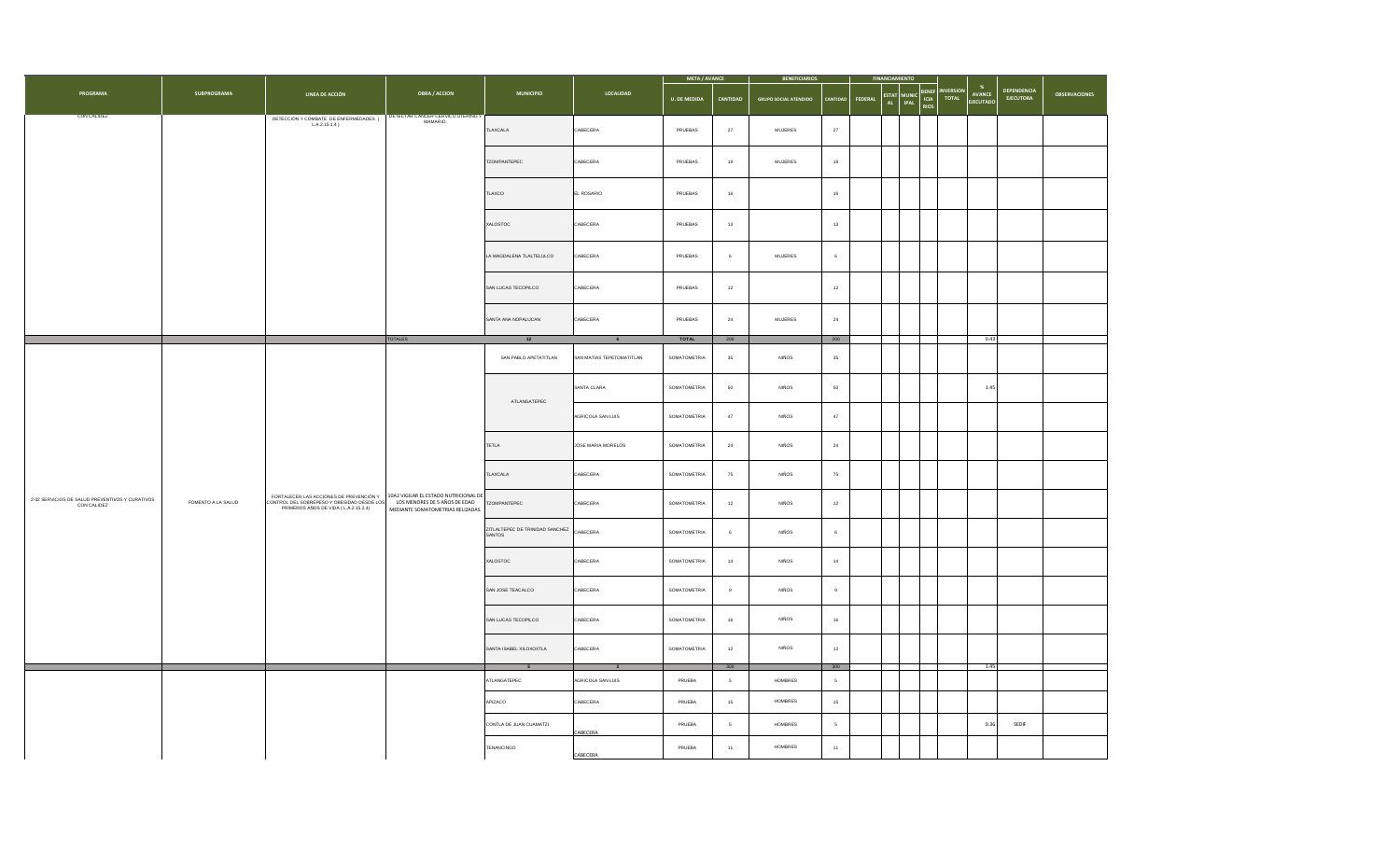|                                                                |                    |                                                                                                                                                                                               |                      |                                                    |                               | <b>BENEFICIARIOS</b>                                                                                                                                                                                                                                                                                                                                                                                                                                                                                                                                                                                                                                                                                                                                                          |                 |                              |          |                 |                                             |                          |                                   |                                 |                      |  |
|----------------------------------------------------------------|--------------------|-----------------------------------------------------------------------------------------------------------------------------------------------------------------------------------------------|----------------------|----------------------------------------------------|-------------------------------|-------------------------------------------------------------------------------------------------------------------------------------------------------------------------------------------------------------------------------------------------------------------------------------------------------------------------------------------------------------------------------------------------------------------------------------------------------------------------------------------------------------------------------------------------------------------------------------------------------------------------------------------------------------------------------------------------------------------------------------------------------------------------------|-----------------|------------------------------|----------|-----------------|---------------------------------------------|--------------------------|-----------------------------------|---------------------------------|----------------------|--|
| PROGRAMA                                                       | <b>SUBPROGRAMA</b> | LINEA DE ACCIÓN                                                                                                                                                                               | <b>OBRA / ACCION</b> | <b>MUNICIPIO</b>                                   | LOCALIDAD                     | <b>U. DE MEDIDA</b>                                                                                                                                                                                                                                                                                                                                                                                                                                                                                                                                                                                                                                                                                                                                                           | <b>CANTIDAD</b> | <b>GRUPO SOCIAL ATENDIDO</b> | CANTIDAD | FEDERAL<br>AL . | BENEF<br>ICIA<br><b>IPAL</b><br><b>RIOS</b> | <b>NVERSION</b><br>TOTAL | $\%$<br>AVANCE<br><b>EJECUTAD</b> | <b>DEPENDENCIA</b><br>EJECUTORA | <b>OBSERVACIONES</b> |  |
| CON CALIDEZ                                                    |                    | DETECCIÓN Y COMBATE DE ENFERMEDADES (COMBET CANCER CERVICO UTERINO MANARIO.                                                                                                                   |                      | TLAXCALA                                           | CABECERA                      | PRUEBAS                                                                                                                                                                                                                                                                                                                                                                                                                                                                                                                                                                                                                                                                                                                                                                       | $27\,$          | MUJERES                      | $27\,$   |                 |                                             |                          |                                   |                                 |                      |  |
|                                                                |                    |                                                                                                                                                                                               |                      | TZOMPANTEPEC                                       | CABECERA                      | PRUEBAS                                                                                                                                                                                                                                                                                                                                                                                                                                                                                                                                                                                                                                                                                                                                                                       | 19              | MUJERES                      | 19       |                 |                                             |                          |                                   |                                 |                      |  |
|                                                                |                    |                                                                                                                                                                                               |                      | TLAXCO                                             | EL ROSARIO                    | PRUEBAS                                                                                                                                                                                                                                                                                                                                                                                                                                                                                                                                                                                                                                                                                                                                                                       | 16              |                              | $16\,$   |                 |                                             |                          |                                   |                                 |                      |  |
|                                                                |                    |                                                                                                                                                                                               |                      | XALOSTOC                                           | CABECERA                      | PRUEBAS                                                                                                                                                                                                                                                                                                                                                                                                                                                                                                                                                                                                                                                                                                                                                                       | $13\,$          |                              | $13\,$   |                 |                                             |                          |                                   |                                 |                      |  |
|                                                                |                    |                                                                                                                                                                                               |                      | LA MAGDALENA TLALTELULCO                           | CABECERA                      | PRUEBAS                                                                                                                                                                                                                                                                                                                                                                                                                                                                                                                                                                                                                                                                                                                                                                       | 6               | MUJERES                      | 6        |                 |                                             |                          |                                   |                                 |                      |  |
|                                                                |                    |                                                                                                                                                                                               |                      | SAN LUCAS TECOPILCO                                | CABECERA                      | PRUEBAS                                                                                                                                                                                                                                                                                                                                                                                                                                                                                                                                                                                                                                                                                                                                                                       | $12\,$          |                              | $12\,$   |                 |                                             |                          |                                   |                                 |                      |  |
|                                                                |                    |                                                                                                                                                                                               |                      | SANTA ANA NOPALUCAN                                | CABECERA                      | PRUEBAS                                                                                                                                                                                                                                                                                                                                                                                                                                                                                                                                                                                                                                                                                                                                                                       | $\bf 24$        | <b>MUJERES</b>               | $\bf 24$ |                 |                                             |                          |                                   |                                 |                      |  |
|                                                                |                    |                                                                                                                                                                                               | <b>TOTALES</b>       | 12                                                 | 6                             | <b>TOTAL</b>                                                                                                                                                                                                                                                                                                                                                                                                                                                                                                                                                                                                                                                                                                                                                                  | 200             |                              | 200      |                 |                                             |                          | 0.43                              |                                 |                      |  |
|                                                                |                    |                                                                                                                                                                                               |                      | SAN PABLO APETATITLAN                              | SAN MATIAS TEPETOMATITLAN     | SOMATOMETRIA                                                                                                                                                                                                                                                                                                                                                                                                                                                                                                                                                                                                                                                                                                                                                                  | $35\,$          | NIÑOS                        | $35\,$   |                 |                                             |                          |                                   |                                 |                      |  |
|                                                                |                    |                                                                                                                                                                                               |                      | ATLANGATEPEC                                       | SANTA CLARA                   | <b>META / AVANCE</b><br><b>ESTAT</b> MUNIC<br>SOMATOMETRIA<br>50<br><b>NIÑOS</b><br>50<br>SOMATOMETRIA<br>$47\,$<br>NIÑOS<br>$47\,$<br><b>NIÑOS</b><br><b>SOMATOMETRIA</b><br>24<br>$\bf 24$<br>SOMATOMETRIA<br>NIÑOS<br>75<br>$75\,$<br>NIÑOS<br>SOMATOMETRIA<br>12<br>$12\,$<br><b>NIÑOS</b><br><b>SOMATOMETRIA</b><br>6<br>6<br>SOMATOMETRIA<br>$14$<br>NIÑOS<br>$14\,$<br>SOMATOMETRIA<br>$_{9}$<br>NIÑOS<br>9<br>NIÑOS<br><b>SOMATOMETRIA</b><br>16<br>16<br>SOMATOMETRIA<br>$12\,$<br>NIÑOS<br>$12\,$<br>300<br>300<br><b>HOMBRES</b><br>PRUEBA<br>$\overline{\phantom{a}}$<br>$5\phantom{.0}$<br>PRUEBA<br>15 <sub>15</sub><br>HOMBRES<br>$15\,$<br><b>HOMBRES</b><br>PRUEBA<br>$\overline{\phantom{a}}$<br>$5\overline{6}$<br>PRUEBA<br>$11$<br>HOMBRES<br>${\bf 11}$ |                 |                              | 1.45     |                 |                                             |                          |                                   |                                 |                      |  |
|                                                                |                    |                                                                                                                                                                                               |                      |                                                    | AGRICOLA SAN LUIS             |                                                                                                                                                                                                                                                                                                                                                                                                                                                                                                                                                                                                                                                                                                                                                                               |                 |                              |          |                 |                                             |                          |                                   |                                 |                      |  |
|                                                                |                    |                                                                                                                                                                                               |                      | TETLA                                              | JOSE MARIA MORELOS            |                                                                                                                                                                                                                                                                                                                                                                                                                                                                                                                                                                                                                                                                                                                                                                               |                 |                              |          |                 |                                             |                          |                                   |                                 |                      |  |
|                                                                |                    |                                                                                                                                                                                               |                      | TLAXCALA                                           | CABECERA                      |                                                                                                                                                                                                                                                                                                                                                                                                                                                                                                                                                                                                                                                                                                                                                                               |                 |                              |          |                 |                                             |                          |                                   |                                 |                      |  |
| 2-02 SERVICIOS DE SALUD PREVENTIVOS Y CURATIVOS<br>CON CALIDEZ | FOMENTO A LA SALUD | FORTALECER LAS ACCIONES DE PREVENCIÓN Y<br>CONTROL DEL SOBREPESO Y OBESIDAD DESDE LOS VIDOS MENORES DE 5 AÑOS DE EDAD<br>PRIMEROS AÑOS DE VIDA (LA 2.15.2.4) MEDIANTE SOMATOMETRIAS RELIZADAS |                      | TZOMPANTEPEC                                       | CABECERA                      |                                                                                                                                                                                                                                                                                                                                                                                                                                                                                                                                                                                                                                                                                                                                                                               |                 |                              |          |                 |                                             |                          |                                   |                                 |                      |  |
|                                                                |                    |                                                                                                                                                                                               |                      | ZITLALTEPEC DE TRINIDAD SANCHEZ CABECERA<br>SANTOS |                               |                                                                                                                                                                                                                                                                                                                                                                                                                                                                                                                                                                                                                                                                                                                                                                               |                 |                              |          |                 |                                             |                          |                                   |                                 |                      |  |
|                                                                |                    |                                                                                                                                                                                               |                      |                                                    | XALOSTOC                      | CABECERA                                                                                                                                                                                                                                                                                                                                                                                                                                                                                                                                                                                                                                                                                                                                                                      |                 |                              |          |                 |                                             |                          |                                   |                                 |                      |  |
|                                                                |                    |                                                                                                                                                                                               |                      | SAN JOSE TEACALCO                                  | CABECERA                      |                                                                                                                                                                                                                                                                                                                                                                                                                                                                                                                                                                                                                                                                                                                                                                               |                 |                              |          |                 |                                             |                          |                                   |                                 |                      |  |
|                                                                |                    |                                                                                                                                                                                               |                      | SAN LUCAS TECOPILCO                                | CABECERA                      |                                                                                                                                                                                                                                                                                                                                                                                                                                                                                                                                                                                                                                                                                                                                                                               |                 |                              |          |                 |                                             |                          |                                   |                                 |                      |  |
|                                                                |                    |                                                                                                                                                                                               |                      | SANTA ISABEL XILOXOXTLA                            | CABECERA                      |                                                                                                                                                                                                                                                                                                                                                                                                                                                                                                                                                                                                                                                                                                                                                                               |                 |                              |          |                 |                                             |                          |                                   |                                 |                      |  |
|                                                                |                    |                                                                                                                                                                                               |                      |                                                    |                               |                                                                                                                                                                                                                                                                                                                                                                                                                                                                                                                                                                                                                                                                                                                                                                               |                 |                              |          |                 |                                             |                          | 1.45                              |                                 |                      |  |
|                                                                |                    |                                                                                                                                                                                               |                      | ATLANGATEPEC<br>APIZACO                            | AGRICOLA SAN LUIS<br>CABECERA |                                                                                                                                                                                                                                                                                                                                                                                                                                                                                                                                                                                                                                                                                                                                                                               |                 |                              |          |                 |                                             |                          |                                   |                                 |                      |  |
|                                                                |                    |                                                                                                                                                                                               |                      | CONTLA DE JUAN CUAMATZI                            |                               |                                                                                                                                                                                                                                                                                                                                                                                                                                                                                                                                                                                                                                                                                                                                                                               |                 |                              |          |                 |                                             |                          | 0.36                              | SEDIF                           |                      |  |
|                                                                |                    |                                                                                                                                                                                               |                      | TENANCINGO                                         | CABECERA                      |                                                                                                                                                                                                                                                                                                                                                                                                                                                                                                                                                                                                                                                                                                                                                                               |                 |                              |          |                 |                                             |                          |                                   |                                 |                      |  |
|                                                                |                    |                                                                                                                                                                                               |                      |                                                    | CABECERA                      |                                                                                                                                                                                                                                                                                                                                                                                                                                                                                                                                                                                                                                                                                                                                                                               |                 |                              |          |                 |                                             |                          |                                   |                                 |                      |  |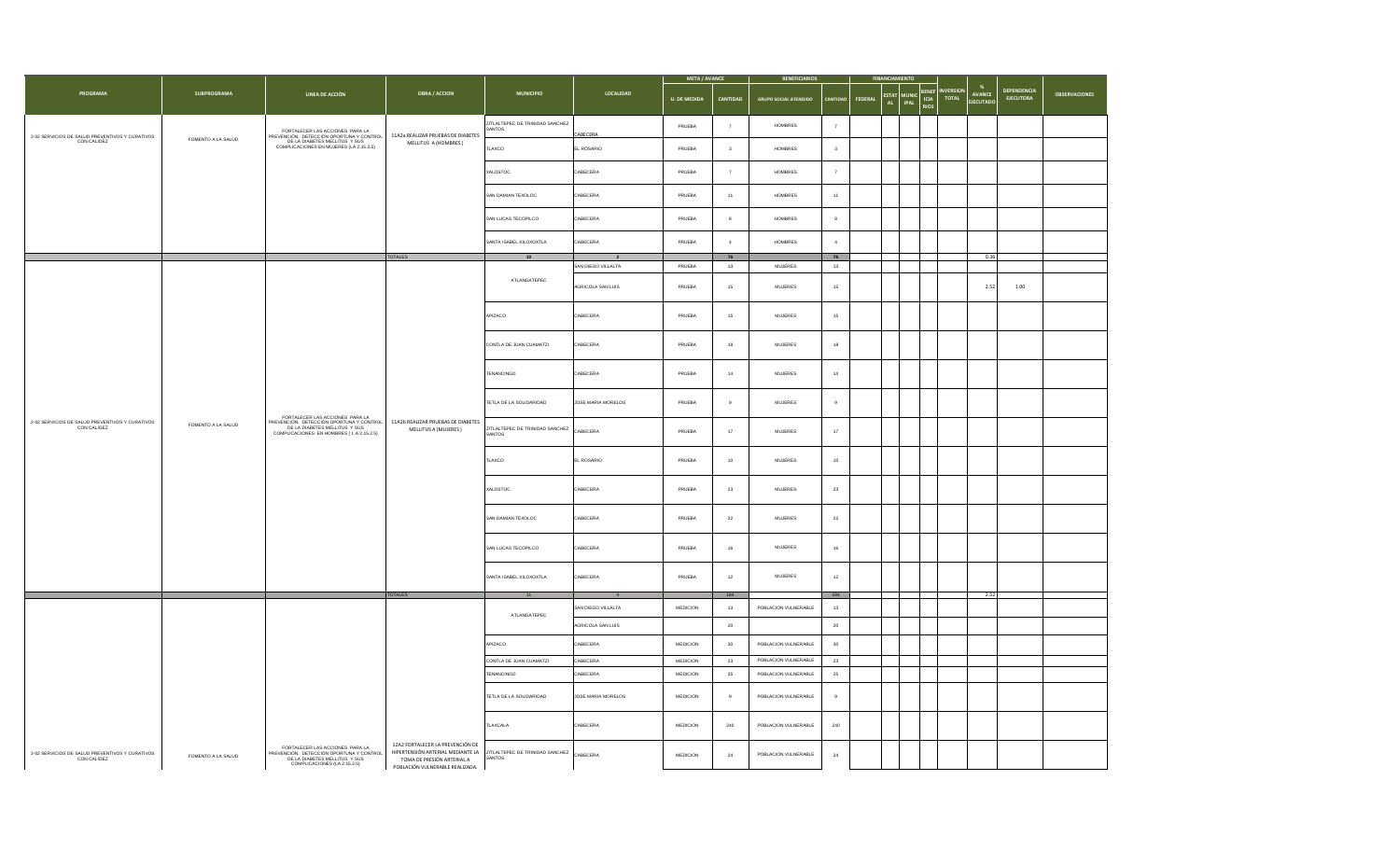|                                                                |                    |                                                                                                                                              |                                                                                                                                                                                                                       |                                                 |                    | <b>META / AVANCE</b> |                         | <b>BENEFICIARIOS</b>         |                               |                            |                                                                     |                                                    |                                        |                      |  |  |  |  |
|----------------------------------------------------------------|--------------------|----------------------------------------------------------------------------------------------------------------------------------------------|-----------------------------------------------------------------------------------------------------------------------------------------------------------------------------------------------------------------------|-------------------------------------------------|--------------------|----------------------|-------------------------|------------------------------|-------------------------------|----------------------------|---------------------------------------------------------------------|----------------------------------------------------|----------------------------------------|----------------------|--|--|--|--|
| PROGRAMA                                                       | <b>SUBPROGRAMA</b> | LINEA DE ACCIÓN                                                                                                                              | <b>OBRA / ACCION</b>                                                                                                                                                                                                  | <b>MUNICIPIO</b>                                | LOCALIDAD          | <b>U. DE MEDIDA</b>  | CANTIDAD                | <b>GRUPO SOCIAL ATENDIDO</b> | <b>FEDERAL</b>                | <b>ESTAT</b><br>IPAL<br>AL | BENEF<br><b>VERSIOI</b><br>MUNIC CIA<br><b>TOTAL</b><br><b>RIOS</b> | $\frac{96}{2}$<br><b>AVANCE</b><br><b>EJECUTAD</b> | <b>DEPENDENCIA</b><br><b>EJECUTORA</b> | <b>OBSERVACIONES</b> |  |  |  |  |
| 2-02 SERVICIOS DE SALUD PREVENTIVOS Y CURATIVOS                | FOMENTO A LA SALUD | FORTALECER LAS ACCIONES PARA LA<br>PREVENCIÓN, DETECCIÓN OPORTUNA Y CONTROL<br>DE LA DIABETES MELLITUS Y SUS                                 | 11A2a REALIZAR PRUEBAS DE DIABETES                                                                                                                                                                                    | ZITLALTEPEC DE TRINIDAD SANCHEZ<br><b>ANTOS</b> | CABECERA           | PRUEBA               | $\overline{7}$          | <b>HOMBRES</b>               | $\overline{7}$                |                            |                                                                     |                                                    |                                        |                      |  |  |  |  |
| CON CALIDEZ                                                    |                    | COMPLICACIONES EN MUJERES (LA 2.15.2.5)                                                                                                      | MELLITUS A (HOMBRES)                                                                                                                                                                                                  | TLAXCO                                          | EL ROSARIO         | PRUEBA               | $\overline{\mathbf{3}}$ | <b>HOMBRES</b>               | $\overline{\mathbf{3}}$       |                            |                                                                     |                                                    |                                        |                      |  |  |  |  |
|                                                                |                    |                                                                                                                                              |                                                                                                                                                                                                                       | XALOSTOC                                        | CABECERA           | PRUEBA               | $\overline{7}$          | HOMBRES                      | $\overline{7}$                |                            |                                                                     |                                                    |                                        |                      |  |  |  |  |
|                                                                |                    |                                                                                                                                              |                                                                                                                                                                                                                       | SAN DAMIAN TEXOLOC                              | CABECERA           | PRUEBA               | 11                      | <b>HOMBRES</b>               | 11                            |                            |                                                                     |                                                    |                                        |                      |  |  |  |  |
|                                                                |                    |                                                                                                                                              |                                                                                                                                                                                                                       | SAN LUCAS TECOPILCO                             | CABECERA           | PRUEBA               | 8                       | HOMBRES                      | 8                             |                            |                                                                     |                                                    |                                        |                      |  |  |  |  |
|                                                                |                    |                                                                                                                                              |                                                                                                                                                                                                                       | SANTA ISABEL XILOXOXTLA                         | CABECERA           | PRUEBA               | $\overline{4}$          | HOMBRES                      | $\boldsymbol{4}$              |                            |                                                                     | 0.36                                               |                                        |                      |  |  |  |  |
|                                                                |                    |                                                                                                                                              | <b>TOTALES</b>                                                                                                                                                                                                        | 10                                              | SAN DIEGO VILLALTA | PRUEBA               | ${\bf 76}$<br>$13\,$    | MUJERES                      | ${\bf 76}$<br>13              |                            |                                                                     |                                                    |                                        |                      |  |  |  |  |
|                                                                |                    |                                                                                                                                              |                                                                                                                                                                                                                       | ATLANGATEPEC                                    | AGRICOLA SAN LUIS  | PRUEBA               | 15                      | <b>MUJERES</b>               | 15                            |                            |                                                                     | 2.52                                               | 1.00                                   |                      |  |  |  |  |
|                                                                |                    |                                                                                                                                              |                                                                                                                                                                                                                       | APIZACO                                         | CABECERA           | PRUEBA               | 15                      | $MUJERES$                    | $15\,$                        |                            |                                                                     |                                                    |                                        |                      |  |  |  |  |
|                                                                |                    |                                                                                                                                              |                                                                                                                                                                                                                       |                                                 |                    |                      |                         | CONTLA DE JUAN CUAMATZI      | CABECERA                      | PRUEBA                     | 18                                                                  | <b>MUJERES</b>                                     | 18                                     |                      |  |  |  |  |
|                                                                |                    |                                                                                                                                              |                                                                                                                                                                                                                       | TENANCINGO                                      | CABECERA           | PRUEBA               | 14                      | <b>MUJERES</b>               | $14\,$<br><b>MUJERES</b><br>9 |                            |                                                                     |                                                    |                                        |                      |  |  |  |  |
|                                                                |                    | FORTALECER LAS ACCIONES PARA LA                                                                                                              |                                                                                                                                                                                                                       | TETLA DE LA SOLIDARIDAD                         | JOSE MARIA MORELOS | PRUEBA               | 9                       |                              |                               |                            |                                                                     |                                                    |                                        |                      |  |  |  |  |
| 2-02 SERVICIOS DE SALUD PREVENTIVOS Y CURATIVOS<br>CON CALIDEZ | FOMENTO A LA SALUD | PREVENCIÓN, DETECCIÓN OPORTUNA Y CONTROL<br>DE LA DIABETES MELLITUS Y SUS<br>COMPLICACIONES EN HOMBRES (L A 2.15.2.5)                        | 11A2b REALIZAR PRUEBAS DE DIABETES<br>MELLITUS A (MUJERES)                                                                                                                                                            | ZITLALTEPEC DE TRINIDAD SANCHEZ CABECERA        |                    | PRUEBA               | 17                      | <b>MUJERES</b>               | $17\,$                        |                            |                                                                     |                                                    |                                        |                      |  |  |  |  |
|                                                                |                    |                                                                                                                                              |                                                                                                                                                                                                                       | TLAXCO                                          | EL ROSARIO         | PRUEBA               | 10                      | MULERES                      | 10                            |                            |                                                                     |                                                    |                                        |                      |  |  |  |  |
|                                                                |                    |                                                                                                                                              |                                                                                                                                                                                                                       |                                                 |                    | XALOSTOC             | CABECERA                | PRUEBA                       | 23                            | <b>MUJERES</b>             | 23                                                                  |                                                    |                                        |                      |  |  |  |  |
|                                                                |                    |                                                                                                                                              |                                                                                                                                                                                                                       |                                                 |                    |                      | SAN DAMIAN TEXOLOC      | CABECERA                     | PRUEBA                        | $\bf 22$                   | $\mathsf{MULERES}\xspace$                                           | $\bf 22$                                           |                                        |                      |  |  |  |  |
|                                                                |                    |                                                                                                                                              |                                                                                                                                                                                                                       | SAN LUCAS TECOPILCO                             | CABECERA           | PRUEBA               | 16                      | <b>MUJERES</b>               | 16                            |                            |                                                                     |                                                    |                                        |                      |  |  |  |  |
|                                                                |                    |                                                                                                                                              |                                                                                                                                                                                                                       | SANTA ISABEL XILOXOXTLA                         | CABECERA           | PRUEBA               | $12\,$                  | $MUJERES$                    | $12\,$                        |                            |                                                                     |                                                    |                                        |                      |  |  |  |  |
|                                                                |                    |                                                                                                                                              | <b>TOTALES</b>                                                                                                                                                                                                        |                                                 | $\overline{4}$     |                      | 184                     |                              | 184                           |                            |                                                                     | 2.52                                               |                                        |                      |  |  |  |  |
|                                                                |                    |                                                                                                                                              |                                                                                                                                                                                                                       | ATLANGATEPEC                                    | SAN DIEGO VILLALTA | MEDICION             | 13                      | POBLACION VULNERABLE         | 13                            |                            |                                                                     |                                                    |                                        |                      |  |  |  |  |
|                                                                |                    |                                                                                                                                              |                                                                                                                                                                                                                       |                                                 | AGRICOLA SAN LUIS  |                      | $\bf{20}$               |                              | $\bf{20}$                     |                            |                                                                     |                                                    |                                        |                      |  |  |  |  |
|                                                                |                    |                                                                                                                                              |                                                                                                                                                                                                                       | APIZACO                                         | ABECERA            | MEDICION             | 30                      | POBLACION VULNERABLE         | 30                            |                            |                                                                     |                                                    |                                        |                      |  |  |  |  |
|                                                                |                    |                                                                                                                                              |                                                                                                                                                                                                                       | CONTLA DE JUAN CUAMATZI                         | CABECERA           | MEDICION             | $^{\rm 23}$             | POBLACION VULNERABLE         | 23                            |                            |                                                                     |                                                    |                                        |                      |  |  |  |  |
|                                                                |                    |                                                                                                                                              |                                                                                                                                                                                                                       | TENANCINGO                                      | CABECERA           | MEDICION             | $\bf 25$                | POBLACION VULNERABLE         | $25\,$                        |                            |                                                                     |                                                    |                                        |                      |  |  |  |  |
|                                                                |                    |                                                                                                                                              |                                                                                                                                                                                                                       | TETLA DE LA SOLIDARIDAD                         | JOSE MARIA MORELOS | <b>MEDICION</b>      | 9                       | POBLACION VULNERABLE         | 9                             |                            |                                                                     |                                                    |                                        |                      |  |  |  |  |
|                                                                |                    |                                                                                                                                              |                                                                                                                                                                                                                       | TLAXCALA                                        | CABECERA           | MEDICION             | 240                     | POBLACION VULNERABLE         | 240                           |                            |                                                                     |                                                    |                                        |                      |  |  |  |  |
| 2-02 SERVICIOS DE SALUD PREVENTIVOS Y CURATIVOS<br>CON CALIDEZ | FOMENTO A LA SALUD | FORTALECER LAS ACCIONES PARA LA<br>PREVENCIÓN, DETECCIÓN OPORTUNA Y CONTROL<br>DE LA DIABETES MELLITUS Y SUS<br>COMPLICACIONES (LA 2.15.2.5) | 12A2 FORTALECER LA PREVENCIÓN DE<br>HIPERTENSIÓN ARTERIAL MEDIANTE LA ZITLALTEPEC DE TRINIDAD SANCHEZ<br>TOMA DE BRESIÓN ARTERIAL MEDIANTE LA SANTOS<br>TOMA DE PRESIÓN ARTERIAL A<br>POBLACIÓN VULNERABLE REALIZADA. |                                                 | CABECERA           | MEDICION             | 24                      | POBLACION VULNERABLE         | $\bf 24$                      |                            |                                                                     |                                                    |                                        |                      |  |  |  |  |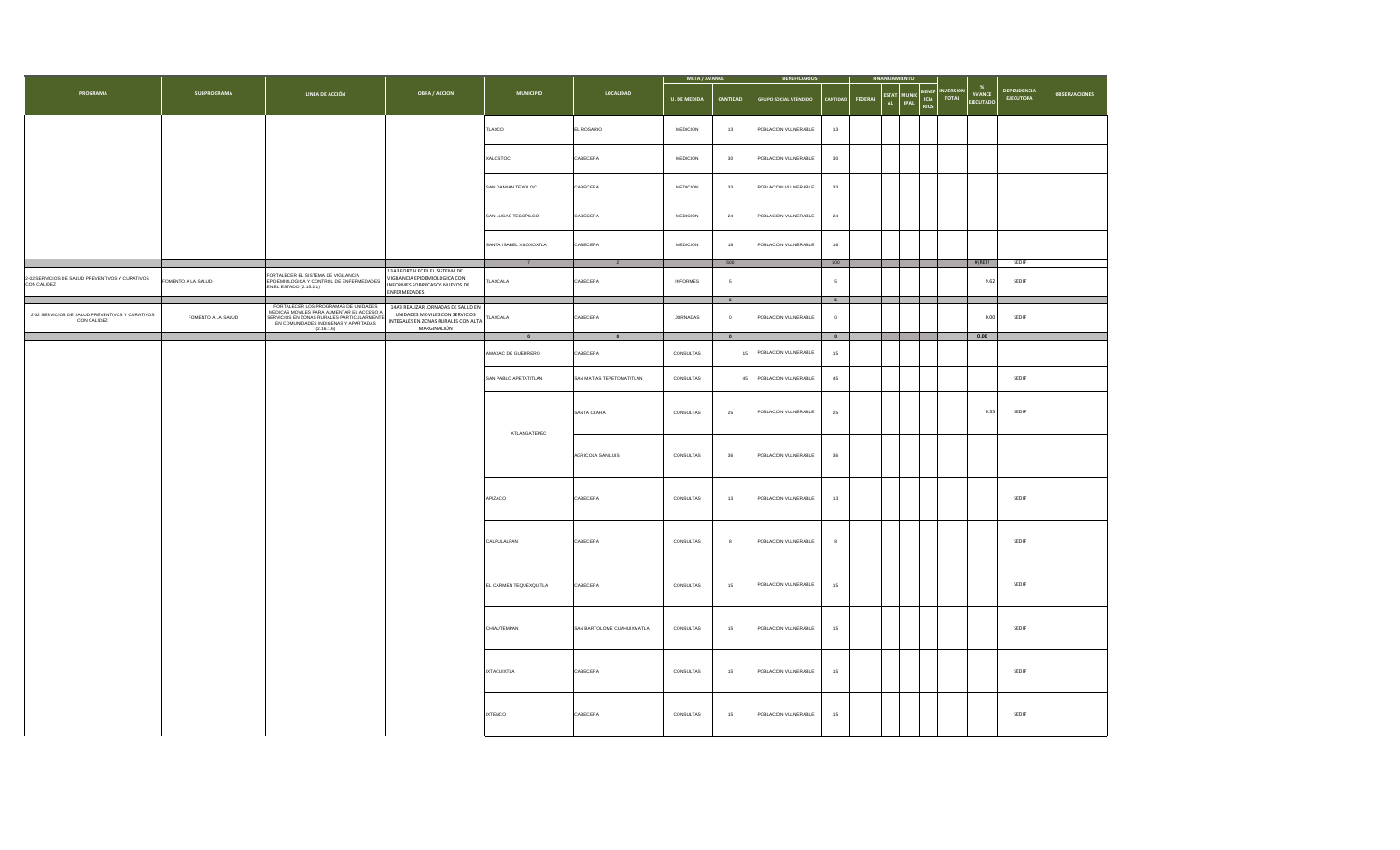|                                                                |                    |                                                                                                                                                                                       |                                                                                                                            |                         |                            | <b>META / AVANCE</b> |                 | <b>BENEFICIARIOS</b>         |                     | <b>FINANCIAMIENTO</b> |                                                               |                                  |                                 |                                 |                      |
|----------------------------------------------------------------|--------------------|---------------------------------------------------------------------------------------------------------------------------------------------------------------------------------------|----------------------------------------------------------------------------------------------------------------------------|-------------------------|----------------------------|----------------------|-----------------|------------------------------|---------------------|-----------------------|---------------------------------------------------------------|----------------------------------|---------------------------------|---------------------------------|----------------------|
| PROGRAMA                                                       | SUBPROGRAMA        | LINEA DE ACCIÓN                                                                                                                                                                       | <b>OBRA / ACCION</b>                                                                                                       | <b>MUNICIPIO</b>        | LOCALIDAD                  | <b>U. DE MEDIDA</b>  | <b>CANTIDAD</b> | <b>GRUPO SOCIAL ATENDIDO</b> | CANTIDAD            | FEDERAL               | <b>BENEF</b><br>ESTAT MUNIC<br>AL IPAL<br><b>ICIA</b><br>RIOS | <b>INVERSION</b><br><b>TOTAL</b> | <b>AVANCE</b><br><b>IFCUTAD</b> | DEPENDENCIA<br><b>EJECUTORA</b> | <b>OBSERVACIONES</b> |
|                                                                |                    |                                                                                                                                                                                       |                                                                                                                            | TLAXCO                  | EL ROSARIO                 | <b>MEDICION</b>      | $13\,$          | POBLACION VULNERABLE         | $13$                |                       |                                                               |                                  |                                 |                                 |                      |
|                                                                |                    |                                                                                                                                                                                       |                                                                                                                            | XALOSTOC                | CABECERA                   | MEDICION             | 30              | POBLACION VULNERABLE         | $30\,$              |                       |                                                               |                                  |                                 |                                 |                      |
|                                                                |                    |                                                                                                                                                                                       |                                                                                                                            | SAN DAMIAN TEXOLOC      | CABECERA                   | MEDICION             | $_{\rm 33}$     | POBLACION VULNERABLE         | $33\,$              |                       |                                                               |                                  |                                 |                                 |                      |
|                                                                |                    |                                                                                                                                                                                       |                                                                                                                            | SAN LUCAS TECOPILCO     | CABECERA                   | MEDICION             | $\bf 24$        | POBLACION VULNERABLE         | $\mathbf{^{24}}$    |                       |                                                               |                                  |                                 |                                 |                      |
|                                                                |                    |                                                                                                                                                                                       |                                                                                                                            | SANTA ISABEL XILOXOXTLA | CABECERA                   | MEDICION             | 16              | POBLACION VULNERABLE         | 16                  |                       |                                                               |                                  |                                 |                                 |                      |
| 2-02 SERVICIOS DE SALUD PREVENTIVOS Y CURATIVOS<br>CON CALIDEZ | FOMENTO A LA SALUD | FORTALECER EL SISTEMA DE VIGILANCIA<br>EPIDEMIOLOGICA Y CONTROL DE ENFERMEDADES<br>EN EL ESTADO (2.15.2.1)                                                                            | 13A3 FORTALECER EL SISTEMA DE<br>VIGILANCIA EPIDEMIOLOGICA CON<br>INFORMES SOBRECASOS NUEVOS DE<br><b>INFERMEDADES</b>     | TLAXCALA                | CABECERA                   | <b>INFORMES</b>      | $500\,$<br>5    |                              | 500<br>$\mathsf{s}$ |                       |                                                               |                                  | $\#$ REF!<br>9.62               | SEDIF<br>SEDIF                  |                      |
|                                                                |                    |                                                                                                                                                                                       |                                                                                                                            |                         |                            |                      | 5 <sup>5</sup>  |                              | $5^{\circ}$         |                       |                                                               |                                  |                                 |                                 |                      |
| 2-02 SERVICIOS DE SALUD PREVENTIVOS Y CURATIVOS<br>CON CALIDEZ | FOMENTO A LA SALUD | FORTALECER LOS PROGRAMAS DE UNIDADES<br>MEDICAS MOVILES PARA AUMENTAR EL ACCESO A<br>SERVICIOS EN ZONAS RURALES PARTICULARMENTE<br>EN COMUNIDADES INDIGENAS Y APARTADAS<br>(2.16.1.6) | 14A3 REALIZAR JORNADAS DE SALUD EN<br>UNIDADES MOVILES CON SERVICIOS<br>INTEGALES EN ZONAS RURALES CON ALTA<br>MARGINACIÓN | TLAXCALA                | CABECERA                   | <b>JORNADAS</b>      | $\overline{0}$  | POBLACION VULNERABLE         | $\circ$             |                       |                                                               |                                  | 0.00                            | SEDIF                           |                      |
|                                                                |                    |                                                                                                                                                                                       |                                                                                                                            | $\bullet$               | $\bullet$                  |                      | $\bullet$       |                              | $\bullet$           |                       |                                                               |                                  | 0.00                            |                                 |                      |
|                                                                |                    |                                                                                                                                                                                       |                                                                                                                            | AMAXAC DE GUERRERO      | CABECERA                   | CONSULTAS            |                 | POBLACION VULNERABLE         | 15                  |                       |                                                               |                                  |                                 |                                 |                      |
|                                                                |                    |                                                                                                                                                                                       |                                                                                                                            | SAN PABLO APETATITLAN   | SAN MATIAS TEPETOMATITLAN  | CONSULTAS            |                 | POBLACION VULNERABLE         | $45\,$              |                       |                                                               |                                  |                                 | SEDIF                           |                      |
|                                                                |                    |                                                                                                                                                                                       |                                                                                                                            | ATLANGATEPEC            | SANTA CLARA                | CONSULTAS            | $\bf 25$        | POBLACION VULNERABLE         | $\bf 25$            |                       |                                                               |                                  | 0.35                            | SEDIF                           |                      |
|                                                                |                    |                                                                                                                                                                                       |                                                                                                                            |                         | AGRICOLA SAN LUIS          | CONSULTAS            | 36              | POBLACION VULNERABLE         | 36                  |                       |                                                               |                                  |                                 |                                 |                      |
|                                                                |                    |                                                                                                                                                                                       |                                                                                                                            | APIZACO                 | CABECERA                   | CONSULTAS            | 13              | POBLACION VULNERABLE         | $13\,$              |                       |                                                               |                                  |                                 | SEDIF                           |                      |
|                                                                |                    |                                                                                                                                                                                       |                                                                                                                            | CALPULALPAN             | CABECERA                   | CONSULTAS            | $\mathbf{8}$    | POBLACION VULNERABLE         | $\,$ 8              |                       |                                                               |                                  |                                 | SEDIF                           |                      |
|                                                                |                    |                                                                                                                                                                                       |                                                                                                                            | EL CARMEN TEQUEXQUITLA  | CABECERA                   | CONSULTAS            | 15              | POBLACION VULNERABLE         | 15                  |                       |                                                               |                                  |                                 | SEDIF                           |                      |
|                                                                |                    |                                                                                                                                                                                       |                                                                                                                            | CHIAUTEMPAN             | SAN BARTOLOME CUAHUIXMATLA | CONSULTAS            | $15\,$          | POBLACION VULNERABLE         | 15                  |                       |                                                               |                                  |                                 | SEDIF                           |                      |
|                                                                |                    |                                                                                                                                                                                       |                                                                                                                            | <b>IXTACUIXTLA</b>      | CABECERA                   | CONSULTAS            | 15              | POBLACION VULNERABLE         | 15                  |                       |                                                               |                                  |                                 | SEDIF                           |                      |
|                                                                |                    |                                                                                                                                                                                       |                                                                                                                            | <b>IXTENCO</b>          | CABECERA                   | CONSULTAS            | 15              | POBLACION VULNERABLE         | 15                  |                       |                                                               |                                  |                                 | SEDIF                           |                      |
|                                                                |                    |                                                                                                                                                                                       |                                                                                                                            |                         |                            |                      |                 |                              |                     |                       |                                                               |                                  |                                 |                                 |                      |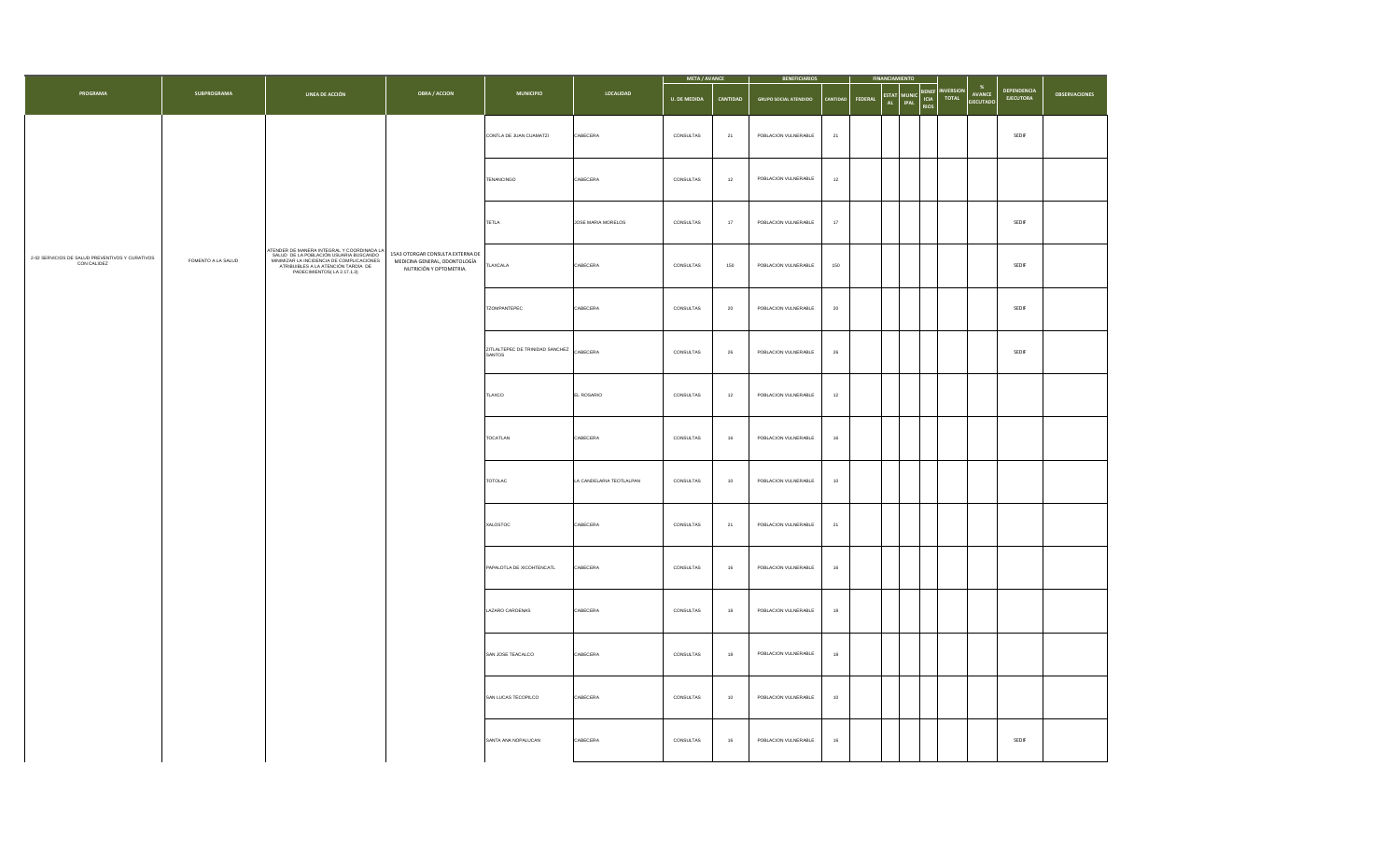|                                                             |                    |                                                                                                                                                                   |                                                                                                                                   |                           |                          | <b>META / AVANCE</b> |                      | <b>BENEFICIARIOS</b>         | <b>FINANCIAMIENTO</b>      |                        |                                                                  |                                                |                                 |                      |
|-------------------------------------------------------------|--------------------|-------------------------------------------------------------------------------------------------------------------------------------------------------------------|-----------------------------------------------------------------------------------------------------------------------------------|---------------------------|--------------------------|----------------------|----------------------|------------------------------|----------------------------|------------------------|------------------------------------------------------------------|------------------------------------------------|---------------------------------|----------------------|
| PROGRAMA                                                    | SUBPROGRAMA        | LINEA DE ACCIÓN                                                                                                                                                   | OBRA / ACCION                                                                                                                     | <b>MUNICIPIO</b>          | LOCALIDAD                | <b>U. DE MEDIDA</b>  | CANTIDAD             | <b>GRUPO SOCIAL ATENDIDO</b> | <b>FEDERAL</b><br>CANTIDAD | ESTAT MUNIC<br>AL IPAL | BENEF<br>ICIA<br><b>INVERSION</b><br><b>TOTAL</b><br><b>RIOS</b> | $\boldsymbol{\%}$<br>AVANCE<br><b>EJECUTAD</b> | <b>DEPENDENCIA</b><br>EJECUTORA | <b>OBSERVACIONES</b> |
|                                                             |                    |                                                                                                                                                                   |                                                                                                                                   | CONTLA DE JUAN CUAMATZI   | CABECERA                 | CONSULTAS            | 21                   | POBLACION VULNERABLE         | $21\,$                     |                        |                                                                  |                                                | SEDIF                           |                      |
|                                                             |                    |                                                                                                                                                                   | CABECERA<br>12<br>TENANCINGO<br>CONSULTAS<br>12<br>POBLACION VULNERABLE                                                           |                           |                          |                      |                      |                              |                            |                        |                                                                  |                                                |                                 |                      |
|                                                             |                    |                                                                                                                                                                   |                                                                                                                                   | <b>TETLA</b>              | JOSE MARIA MORELOS       | CONSULTAS            | 17                   | POBLACION VULNERABLE         | 17                         |                        | SEDIF                                                            |                                                |                                 |                      |
| 2-02 SERVICIOS DE SALUD PREVENTIVOS Y CURATIVOS CON CALIDEZ | FOMENTO A LA SALUD | 15A3 OTORGAR CONSULTA EXTERNA DE<br>MEDICINA GENERAL, ODONTOLOGÍA<br>ATRIBUIBLES A LA ATENCIÓN TARDÍA DE<br>PADECIMIENTOS(LA 2.17.1.3)<br>NUTRICIÓN Y OPTOMETRIA. | ATENDER DE MANERA INTEGRAL Y COORDINADA LA<br>SALUD DE LA POBLACIÓN USUARIA BUSCANDO<br>MINIMIZAR LA INCIDENCIA DE COMPLICACIONES | LAXCALA                   | CABECERA                 | CONSULTAS            | 150                  | POBLACION VULNERABLE         | SEDIF                      |                        |                                                                  |                                                |                                 |                      |
|                                                             |                    |                                                                                                                                                                   | TZOMPANTEPEC                                                                                                                      | CABECERA                  | CONSULTAS                | 20                   | POBLACION VULNERABLE | $20\,$                       |                            |                        |                                                                  | SEDIF                                          |                                 |                      |
|                                                             |                    |                                                                                                                                                                   | ZITLALTEPEC DE TRINIDAD SANCHEZ<br>SANTOS                                                                                         | CABECERA                  | CONSULTAS                | 26                   | POBLACION VULNERABLE | $\sqrt{26}$                  |                            |                        |                                                                  | SEDIF                                          |                                 |                      |
|                                                             |                    |                                                                                                                                                                   |                                                                                                                                   | TLAXCO                    | EL ROSARIO               | CONSULTAS            | $12\,$               | POBLACION VULNERABLE         | $12\,$                     |                        |                                                                  |                                                |                                 |                      |
|                                                             |                    |                                                                                                                                                                   |                                                                                                                                   | TOCATLAN                  | CABECERA                 | CONSULTAS            | $16\,$               | POBLACION VULNERABLE         | 16                         |                        |                                                                  |                                                |                                 |                      |
|                                                             |                    |                                                                                                                                                                   |                                                                                                                                   | TOTOLAC                   | LA CANDELARIA TEOTLALPAN | CONSULTAS            | 10                   | POBLACION VULNERABLE         | 10 <sub>10</sub>           |                        |                                                                  |                                                |                                 |                      |
|                                                             |                    |                                                                                                                                                                   |                                                                                                                                   | XALOSTOC                  | CABECERA                 | CONSULTAS            | 21                   | POBLACION VULNERABLE         | 21                         |                        |                                                                  |                                                |                                 |                      |
|                                                             |                    |                                                                                                                                                                   |                                                                                                                                   | PAPALOTLA DE XICOHTENCATL | CABECERA                 | CONSULTAS            | 16                   | POBLACION VULNERABLE         | $16\,$                     |                        |                                                                  |                                                |                                 |                      |
|                                                             |                    |                                                                                                                                                                   |                                                                                                                                   | LAZARO CARDENAS           | CABECERA                 | CONSULTAS            | 18                   | POBLACION VULNERABLE         | 18                         |                        |                                                                  |                                                |                                 |                      |
|                                                             |                    |                                                                                                                                                                   |                                                                                                                                   | SAN JOSE TEACALCO         | CABECERA                 | CONSULTAS            | 18                   | POBLACION VULNERABLE         | 18                         |                        |                                                                  |                                                |                                 |                      |
|                                                             |                    |                                                                                                                                                                   |                                                                                                                                   | SAN LUCAS TECOPILCO       | CABECERA                 | CONSULTAS            | $10$                 | POBLACION VULNERABLE         | 10 <sub>1</sub>            |                        |                                                                  |                                                |                                 |                      |
|                                                             |                    |                                                                                                                                                                   |                                                                                                                                   | SANTA ANA NOPALUCAN       | CABECERA                 | CONSULTAS            | 16                   | POBLACION VULNERABLE         | 16                         |                        |                                                                  |                                                | SEDIF                           |                      |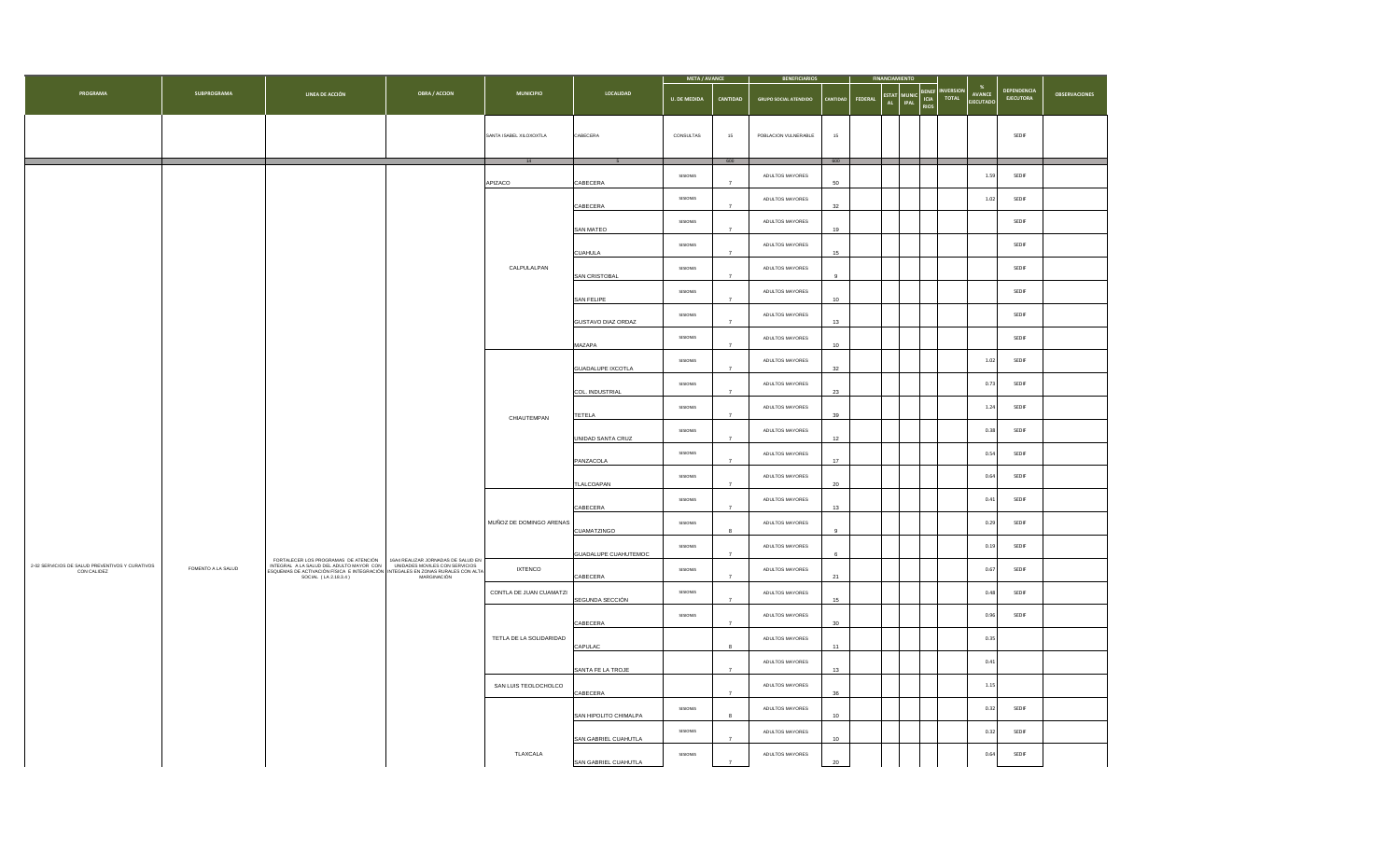|                                                                |                    |                                                                                                                                                                                                                            |                                                         |                         |                                                  |                     |                |                              | <b>META / AVANCE</b> |                | <b>BENEFICIARIOS</b>      |                                             |                                 |                           |                                 |                      |  |  |  |
|----------------------------------------------------------------|--------------------|----------------------------------------------------------------------------------------------------------------------------------------------------------------------------------------------------------------------------|---------------------------------------------------------|-------------------------|--------------------------------------------------|---------------------|----------------|------------------------------|----------------------|----------------|---------------------------|---------------------------------------------|---------------------------------|---------------------------|---------------------------------|----------------------|--|--|--|
| PROGRAMA                                                       | <b>SUBPROGRAMA</b> | LINEA DE ACCIÓN                                                                                                                                                                                                            | <b>OBRA / ACCION</b>                                    | <b>MUNICIPIO</b>        | LOCALIDAD                                        | <b>U. DE MEDIDA</b> | CANTIDAD       | <b>GRUPO SOCIAL ATENDIDO</b> | ANTIDA               | <b>FEDERAL</b> | <b>ESTAT MUNIC</b><br>AL. | BENEF<br>ICIA<br><b>IPAL</b><br><b>RIOS</b> | <b>NVERSION</b><br><b>TOTAL</b> | AVANCE<br><b>EJECUTAD</b> | <b>DEPENDENCIA</b><br>EJECUTORA | <b>OBSERVACIONES</b> |  |  |  |
|                                                                |                    |                                                                                                                                                                                                                            |                                                         | SANTA ISABEL XILOXOXTLA | CABECERA                                         | CONSULTAS           | $15\,$         | POBLACION VULNERABLE         | $15\,$               |                |                           |                                             |                                 |                           | SEDIF                           |                      |  |  |  |
|                                                                |                    |                                                                                                                                                                                                                            |                                                         | 14                      |                                                  |                     | 600            |                              | 600                  |                |                           |                                             |                                 |                           |                                 |                      |  |  |  |
|                                                                |                    |                                                                                                                                                                                                                            |                                                         | APIZACO                 | CABECERA                                         | SESIONES            |                | ADULTOS MAYORES              | 50                   |                |                           |                                             |                                 | 1.59                      | SEDIF                           |                      |  |  |  |
|                                                                |                    |                                                                                                                                                                                                                            |                                                         |                         | CABECERA                                         | SESIONES            |                | ADULTOS MAYORES              | 32                   |                |                           |                                             |                                 | 1.02                      | SEDIF                           |                      |  |  |  |
|                                                                |                    |                                                                                                                                                                                                                            |                                                         |                         | SAN MATEO                                        | SESIONES            | $\overline{7}$ | ADULTOS MAYORES              | 19                   |                |                           |                                             |                                 |                           | SEDIF                           |                      |  |  |  |
|                                                                |                    |                                                                                                                                                                                                                            |                                                         |                         | <b>CUAHULA</b>                                   | SESIONES            | $\overline{z}$ | ADULTOS MAYORES              | 15                   |                |                           |                                             |                                 |                           | SEDIF                           |                      |  |  |  |
|                                                                |                    |                                                                                                                                                                                                                            |                                                         | CALPULALPAN             | SAN CRISTOBAL                                    | SESIONES            | $\overline{7}$ | ADULTOS MAYORES              | $\mathbf{q}$         |                |                           |                                             |                                 |                           | SEDIF                           |                      |  |  |  |
|                                                                |                    |                                                                                                                                                                                                                            | SESIONES<br>SAN FELIPE<br>$\overline{z}$                | ADULTOS MAYORES         | 10 <sup>10</sup>                                 |                     |                |                              |                      |                | SEDIF                     |                                             |                                 |                           |                                 |                      |  |  |  |
|                                                                |                    |                                                                                                                                                                                                                            |                                                         |                         | SESIONES<br>GUSTAVO DIAZ ORDAZ<br>$\overline{7}$ | ADULTOS MAYORES     | 13             |                              |                      |                |                           |                                             | SEDIF                           |                           |                                 |                      |  |  |  |
|                                                                |                    |                                                                                                                                                                                                                            | ADULTOS MAYORES<br>SESIONES<br>MAZAPA<br>$\overline{7}$ | 10 <sup>10</sup>        |                                                  |                     |                |                              |                      | SEDIF          |                           |                                             |                                 |                           |                                 |                      |  |  |  |
|                                                                |                    |                                                                                                                                                                                                                            |                                                         |                         | <b>GUADALUPE IXCOTLA</b>                         | SESIONES            | $\overline{7}$ | ADULTOS MAYORES              | 32                   |                |                           |                                             |                                 | 1.02                      | SEDIF                           |                      |  |  |  |
|                                                                |                    |                                                                                                                                                                                                                            |                                                         |                         | COL. INDUSTRIAL                                  | SESIONES            |                | ADULTOS MAYORES              | 23                   |                |                           |                                             |                                 | 0.73                      | SEDIF                           |                      |  |  |  |
|                                                                |                    |                                                                                                                                                                                                                            |                                                         | CHIAUTEMPAN             | TETELA                                           | SESIONES            | $\overline{7}$ | ADULTOS MAYORES              | 39                   |                |                           |                                             |                                 | 1.24                      | SEDIF                           |                      |  |  |  |
|                                                                |                    |                                                                                                                                                                                                                            | SESIONES<br>ADULTOS MAYORES<br>UNIDAD SANTA CRUZ<br>12  |                         |                                                  |                     | 0.38           | SEDIF                        |                      |                |                           |                                             |                                 |                           |                                 |                      |  |  |  |
|                                                                |                    |                                                                                                                                                                                                                            |                                                         |                         | PANZACOLA                                        | SESIONES            | $\overline{7}$ | ADULTOS MAYORES<br>17        | 0.54                 | SEDIF          |                           |                                             |                                 |                           |                                 |                      |  |  |  |
|                                                                |                    |                                                                                                                                                                                                                            |                                                         |                         | TLALCOAPAN                                       | SESIONES            |                | ADULTOS MAYORES              | $20\,$               |                |                           |                                             |                                 | 0.64                      | SEDIF                           |                      |  |  |  |
|                                                                |                    |                                                                                                                                                                                                                            |                                                         |                         | CABECERA                                         | SESIONES            | $\overline{7}$ | ADULTOS MAYORES              | 13                   |                |                           |                                             |                                 | 0.41                      | SEDIF                           |                      |  |  |  |
|                                                                |                    |                                                                                                                                                                                                                            |                                                         | MUÑOZ DE DOMINGO ARENAS | CUAMATZINGO                                      | SESIONES            | 8              | ADULTOS MAYORES              | $\mathbf{9}$         |                |                           |                                             |                                 | 0.29                      | SEDIF                           |                      |  |  |  |
|                                                                |                    |                                                                                                                                                                                                                            |                                                         |                         | GUADALUPE CUAHUTEMOC                             | SESIONES            | $\overline{7}$ | ADULTOS MAYORES              | 6                    |                |                           |                                             |                                 | 0.19                      | SEDIF                           |                      |  |  |  |
| 2-02 SERVICIOS DE SALUD PREVENTIVOS Y CURATIVOS<br>CON CALIDEZ | FOMENTO A LA SALUD | FORTALECER LOS PROGRAMAS DE ATENCIÓN 16A4 REALIZAR JORNADAS DE SALUD EN INTEGRAL A LA SALUD DEL ADILITO MAYOR CON 1<br>INTEGRAL A LA SALUD DEL ADILITO MAYOR CON 10 UNIDADES MOVILES CON SERVICIOS<br>SOCIAL (LA 2.18.3.4) | MARGINACIÓN                                             | <b>IXTENCO</b>          | CABECERA                                         | SESIONES            | $\overline{7}$ | ADULTOS MAYORES              | 21                   |                |                           |                                             |                                 | 0.67                      | SEDIF                           |                      |  |  |  |
|                                                                |                    |                                                                                                                                                                                                                            |                                                         | CONTLA DE JUAN CUAMATZI | SEGUNDA SECCIÓN                                  | SESIONES            | $\overline{7}$ | ADULTOS MAYORES              | 15                   |                |                           |                                             |                                 | 0.48                      | SEDIF                           |                      |  |  |  |
|                                                                |                    |                                                                                                                                                                                                                            |                                                         |                         | CABECERA                                         | SESIONES            | $\overline{7}$ | ADULTOS MAYORES              | $30\,$               |                |                           |                                             |                                 | 0.96                      | SEDIF                           |                      |  |  |  |
|                                                                |                    |                                                                                                                                                                                                                            |                                                         | TETLA DE LA SOLIDARIDAD | CAPULAC                                          |                     | $\mathbf{a}$   | ADULTOS MAYORES              | 11                   |                |                           |                                             |                                 | 0.35                      |                                 |                      |  |  |  |
|                                                                |                    |                                                                                                                                                                                                                            |                                                         |                         | SANTA FE LA TROJE                                |                     | $\overline{7}$ | ADULTOS MAYORES              | 13                   |                |                           |                                             |                                 | 0.41                      |                                 |                      |  |  |  |
|                                                                |                    |                                                                                                                                                                                                                            |                                                         | SAN LUIS TEOLOCHOLCO    | CABECERA                                         |                     | $\overline{7}$ | ADULTOS MAYORES              | 36                   |                |                           |                                             |                                 | 1.15                      |                                 |                      |  |  |  |
|                                                                |                    |                                                                                                                                                                                                                            |                                                         |                         | SAN HIPOLITO CHIMALPA                            | SESIONES            | 8              | ADULTOS MAYORES              | 10                   |                |                           |                                             |                                 | 0.32                      | SEDIF                           |                      |  |  |  |
|                                                                |                    |                                                                                                                                                                                                                            |                                                         |                         | SAN GABRIEL CUAHUTLA                             | SESIONES            |                | ADULTOS MAYORES              | 10                   |                |                           |                                             |                                 | 0.32                      | SEDIF                           |                      |  |  |  |
|                                                                |                    |                                                                                                                                                                                                                            |                                                         | TLAXCALA                | SAN GABRIEL CUAHUTLA                             | SESIONES            | $\overline{7}$ | ADULTOS MAYORES              | 20                   |                |                           |                                             |                                 | 0.64                      | SEDIF                           |                      |  |  |  |